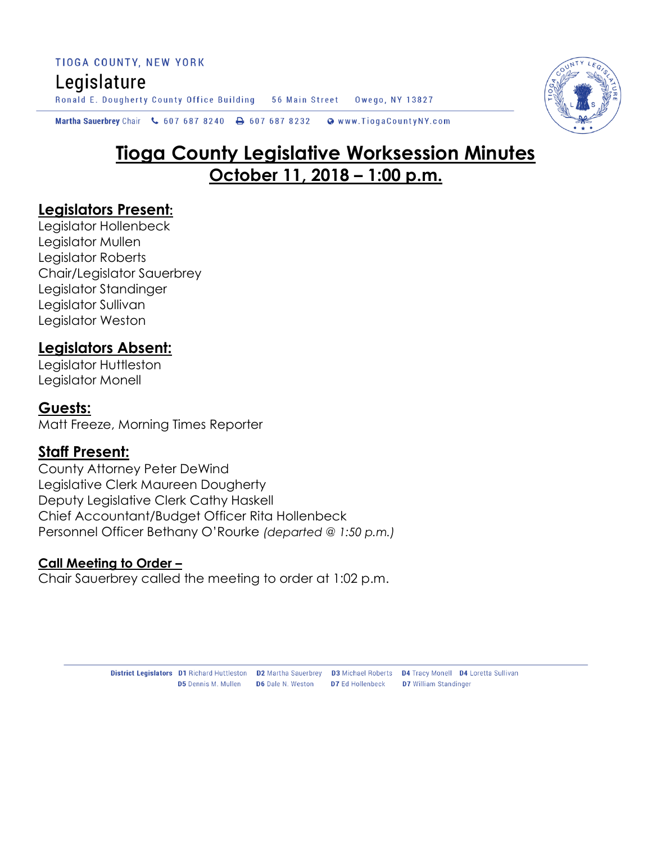TIOGA COUNTY, NEW YORK Legislature Ronald E. Dougherty County Office Building 56 Main Street Owego, NY 13827

Martha Sauerbrey Chair & 607 687 8240  $\bigoplus$  607 687 8232 Www.TiogaCountyNY.com

# **Tioga County Legislative Worksession Minutes October 11, 2018 – 1:00 p.m.**

## **Legislators Present:**

Legislator Hollenbeck Legislator Mullen Legislator Roberts Chair/Legislator Sauerbrey Legislator Standinger Legislator Sullivan Legislator Weston

# **Legislators Absent:**

Legislator Huttleston Legislator Monell

### **Guests:**

Matt Freeze, Morning Times Reporter

## **Staff Present:**

County Attorney Peter DeWind Legislative Clerk Maureen Dougherty Deputy Legislative Clerk Cathy Haskell Chief Accountant/Budget Officer Rita Hollenbeck Personnel Officer Bethany O'Rourke *(departed @ 1:50 p.m.)*

#### **Call Meeting to Order –**

Chair Sauerbrey called the meeting to order at 1:02 p.m.



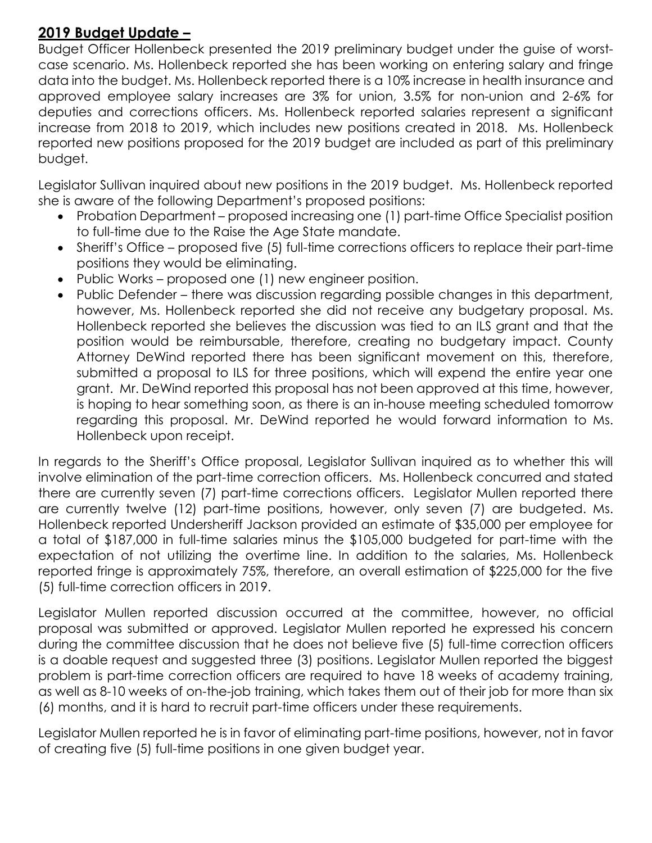# **2019 Budget Update –**

Budget Officer Hollenbeck presented the 2019 preliminary budget under the guise of worstcase scenario. Ms. Hollenbeck reported she has been working on entering salary and fringe data into the budget. Ms. Hollenbeck reported there is a 10% increase in health insurance and approved employee salary increases are 3% for union, 3.5% for non-union and 2-6% for deputies and corrections officers. Ms. Hollenbeck reported salaries represent a significant increase from 2018 to 2019, which includes new positions created in 2018. Ms. Hollenbeck reported new positions proposed for the 2019 budget are included as part of this preliminary budget.

Legislator Sullivan inquired about new positions in the 2019 budget. Ms. Hollenbeck reported she is aware of the following Department's proposed positions:

- Probation Department proposed increasing one (1) part-time Office Specialist position to full-time due to the Raise the Age State mandate.
- Sheriff's Office proposed five (5) full-time corrections officers to replace their part-time positions they would be eliminating.
- Public Works proposed one (1) new engineer position.
- Public Defender there was discussion regarding possible changes in this department, however, Ms. Hollenbeck reported she did not receive any budgetary proposal. Ms. Hollenbeck reported she believes the discussion was tied to an ILS grant and that the position would be reimbursable, therefore, creating no budgetary impact. County Attorney DeWind reported there has been significant movement on this, therefore, submitted a proposal to ILS for three positions, which will expend the entire year one grant. Mr. DeWind reported this proposal has not been approved at this time, however, is hoping to hear something soon, as there is an in-house meeting scheduled tomorrow regarding this proposal. Mr. DeWind reported he would forward information to Ms. Hollenbeck upon receipt.

In regards to the Sheriff's Office proposal, Legislator Sullivan inquired as to whether this will involve elimination of the part-time correction officers. Ms. Hollenbeck concurred and stated there are currently seven (7) part-time corrections officers. Legislator Mullen reported there are currently twelve (12) part-time positions, however, only seven (7) are budgeted. Ms. Hollenbeck reported Undersheriff Jackson provided an estimate of \$35,000 per employee for a total of \$187,000 in full-time salaries minus the \$105,000 budgeted for part-time with the expectation of not utilizing the overtime line. In addition to the salaries, Ms. Hollenbeck reported fringe is approximately 75%, therefore, an overall estimation of \$225,000 for the five (5) full-time correction officers in 2019.

Legislator Mullen reported discussion occurred at the committee, however, no official proposal was submitted or approved. Legislator Mullen reported he expressed his concern during the committee discussion that he does not believe five (5) full-time correction officers is a doable request and suggested three (3) positions. Legislator Mullen reported the biggest problem is part-time correction officers are required to have 18 weeks of academy training, as well as 8-10 weeks of on-the-job training, which takes them out of their job for more than six (6) months, and it is hard to recruit part-time officers under these requirements.

Legislator Mullen reported he is in favor of eliminating part-time positions, however, not in favor of creating five (5) full-time positions in one given budget year.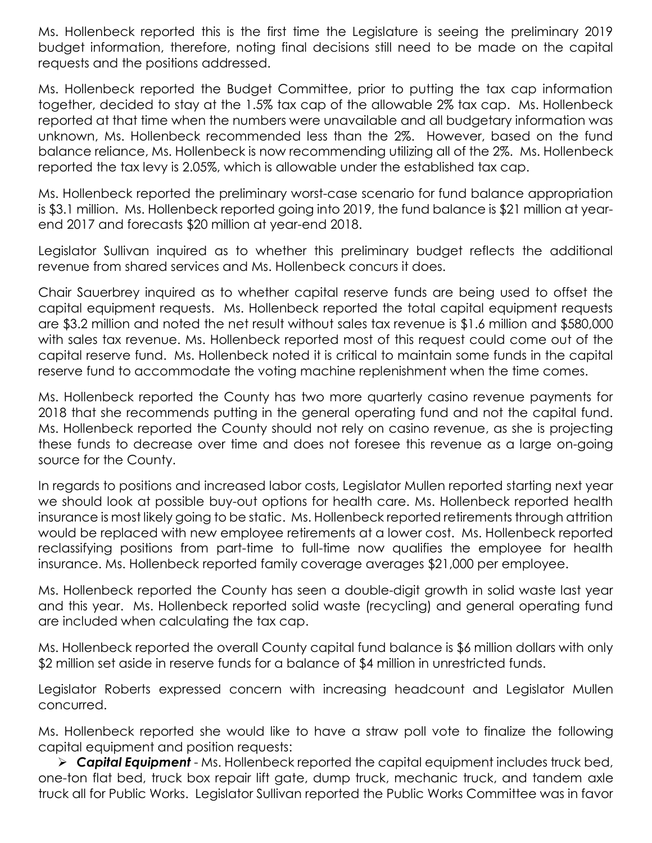Ms. Hollenbeck reported this is the first time the Legislature is seeing the preliminary 2019 budget information, therefore, noting final decisions still need to be made on the capital requests and the positions addressed.

Ms. Hollenbeck reported the Budget Committee, prior to putting the tax cap information together, decided to stay at the 1.5% tax cap of the allowable 2% tax cap. Ms. Hollenbeck reported at that time when the numbers were unavailable and all budgetary information was unknown, Ms. Hollenbeck recommended less than the 2%. However, based on the fund balance reliance, Ms. Hollenbeck is now recommending utilizing all of the 2%. Ms. Hollenbeck reported the tax levy is 2.05%, which is allowable under the established tax cap.

Ms. Hollenbeck reported the preliminary worst-case scenario for fund balance appropriation is \$3.1 million. Ms. Hollenbeck reported going into 2019, the fund balance is \$21 million at yearend 2017 and forecasts \$20 million at year-end 2018.

Legislator Sullivan inquired as to whether this preliminary budget reflects the additional revenue from shared services and Ms. Hollenbeck concurs it does.

Chair Sauerbrey inquired as to whether capital reserve funds are being used to offset the capital equipment requests. Ms. Hollenbeck reported the total capital equipment requests are \$3.2 million and noted the net result without sales tax revenue is \$1.6 million and \$580,000 with sales tax revenue. Ms. Hollenbeck reported most of this request could come out of the capital reserve fund. Ms. Hollenbeck noted it is critical to maintain some funds in the capital reserve fund to accommodate the voting machine replenishment when the time comes.

Ms. Hollenbeck reported the County has two more quarterly casino revenue payments for 2018 that she recommends putting in the general operating fund and not the capital fund. Ms. Hollenbeck reported the County should not rely on casino revenue, as she is projecting these funds to decrease over time and does not foresee this revenue as a large on-going source for the County.

In regards to positions and increased labor costs, Legislator Mullen reported starting next year we should look at possible buy-out options for health care. Ms. Hollenbeck reported health insurance is most likely going to be static. Ms. Hollenbeck reported retirements through attrition would be replaced with new employee retirements at a lower cost. Ms. Hollenbeck reported reclassifying positions from part-time to full-time now qualifies the employee for health insurance. Ms. Hollenbeck reported family coverage averages \$21,000 per employee.

Ms. Hollenbeck reported the County has seen a double-digit growth in solid waste last year and this year. Ms. Hollenbeck reported solid waste (recycling) and general operating fund are included when calculating the tax cap.

Ms. Hollenbeck reported the overall County capital fund balance is \$6 million dollars with only \$2 million set aside in reserve funds for a balance of \$4 million in unrestricted funds.

Legislator Roberts expressed concern with increasing headcount and Legislator Mullen concurred.

Ms. Hollenbeck reported she would like to have a straw poll vote to finalize the following capital equipment and position requests:

 *Capital Equipment* - Ms. Hollenbeck reported the capital equipment includes truck bed, one-ton flat bed, truck box repair lift gate, dump truck, mechanic truck, and tandem axle truck all for Public Works. Legislator Sullivan reported the Public Works Committee was in favor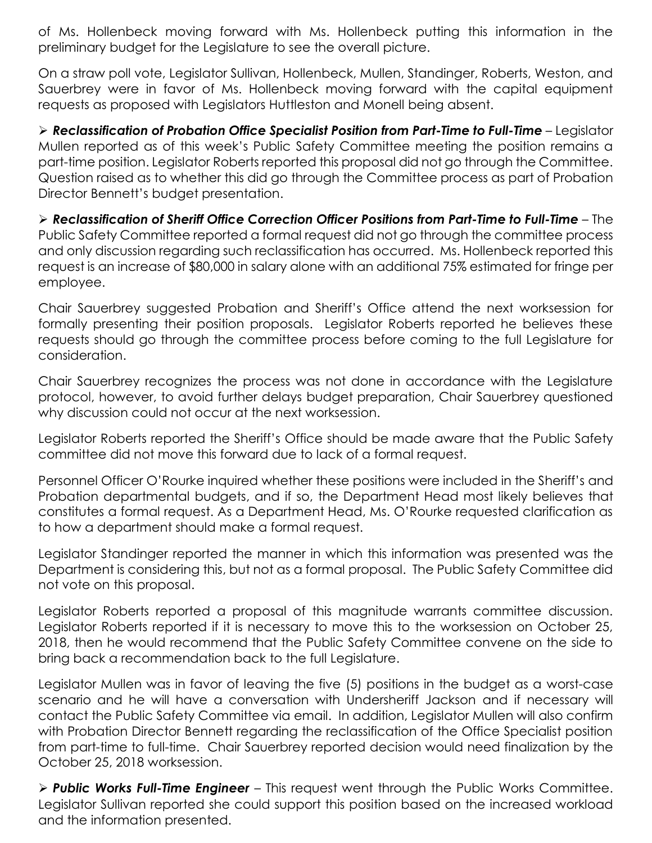of Ms. Hollenbeck moving forward with Ms. Hollenbeck putting this information in the preliminary budget for the Legislature to see the overall picture.

On a straw poll vote, Legislator Sullivan, Hollenbeck, Mullen, Standinger, Roberts, Weston, and Sauerbrey were in favor of Ms. Hollenbeck moving forward with the capital equipment requests as proposed with Legislators Huttleston and Monell being absent.

 *Reclassification of Probation Office Specialist Position from Part-Time to Full-Time* – Legislator Mullen reported as of this week's Public Safety Committee meeting the position remains a part-time position. Legislator Roberts reported this proposal did not go through the Committee. Question raised as to whether this did go through the Committee process as part of Probation Director Bennett's budget presentation.

 *Reclassification of Sheriff Office Correction Officer Positions from Part-Time to Full-Time* – The Public Safety Committee reported a formal request did not go through the committee process and only discussion regarding such reclassification has occurred. Ms. Hollenbeck reported this request is an increase of \$80,000 in salary alone with an additional 75% estimated for fringe per employee.

Chair Sauerbrey suggested Probation and Sheriff's Office attend the next worksession for formally presenting their position proposals. Legislator Roberts reported he believes these requests should go through the committee process before coming to the full Legislature for consideration.

Chair Sauerbrey recognizes the process was not done in accordance with the Legislature protocol, however, to avoid further delays budget preparation, Chair Sauerbrey questioned why discussion could not occur at the next worksession.

Legislator Roberts reported the Sheriff's Office should be made aware that the Public Safety committee did not move this forward due to lack of a formal request.

Personnel Officer O'Rourke inquired whether these positions were included in the Sheriff's and Probation departmental budgets, and if so, the Department Head most likely believes that constitutes a formal request. As a Department Head, Ms. O'Rourke requested clarification as to how a department should make a formal request.

Legislator Standinger reported the manner in which this information was presented was the Department is considering this, but not as a formal proposal. The Public Safety Committee did not vote on this proposal.

Legislator Roberts reported a proposal of this magnitude warrants committee discussion. Legislator Roberts reported if it is necessary to move this to the worksession on October 25, 2018, then he would recommend that the Public Safety Committee convene on the side to bring back a recommendation back to the full Legislature.

Legislator Mullen was in favor of leaving the five (5) positions in the budget as a worst-case scenario and he will have a conversation with Undersheriff Jackson and if necessary will contact the Public Safety Committee via email. In addition, Legislator Mullen will also confirm with Probation Director Bennett regarding the reclassification of the Office Specialist position from part-time to full-time. Chair Sauerbrey reported decision would need finalization by the October 25, 2018 worksession.

 *Public Works Full-Time Engineer* – This request went through the Public Works Committee. Legislator Sullivan reported she could support this position based on the increased workload and the information presented.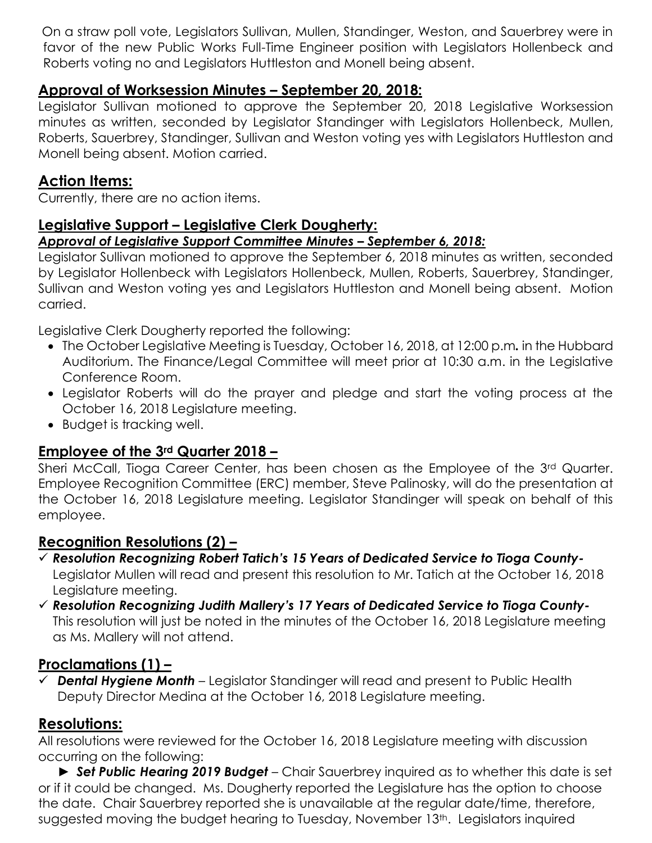On a straw poll vote, Legislators Sullivan, Mullen, Standinger, Weston, and Sauerbrey were in favor of the new Public Works Full-Time Engineer position with Legislators Hollenbeck and Roberts voting no and Legislators Huttleston and Monell being absent.

# **Approval of Worksession Minutes – September 20, 2018:**

Legislator Sullivan motioned to approve the September 20, 2018 Legislative Worksession minutes as written, seconded by Legislator Standinger with Legislators Hollenbeck, Mullen, Roberts, Sauerbrey, Standinger, Sullivan and Weston voting yes with Legislators Huttleston and Monell being absent. Motion carried.

# **Action Items:**

Currently, there are no action items.

#### **Legislative Support – Legislative Clerk Dougherty:**  *Approval of Legislative Support Committee Minutes – September 6, 2018:*

Legislator Sullivan motioned to approve the September 6, 2018 minutes as written, seconded by Legislator Hollenbeck with Legislators Hollenbeck, Mullen, Roberts, Sauerbrey, Standinger, Sullivan and Weston voting yes and Legislators Huttleston and Monell being absent. Motion carried.

Legislative Clerk Dougherty reported the following:

- The October Legislative Meeting is Tuesday, October 16, 2018, at 12:00 p.m*.* in the Hubbard Auditorium. The Finance/Legal Committee will meet prior at 10:30 a.m. in the Legislative Conference Room.
- Legislator Roberts will do the prayer and pledge and start the voting process at the October 16, 2018 Legislature meeting.
- Budget is tracking well.

# **Employee of the 3rd Quarter 2018 –**

Sheri McCall, Tioga Career Center, has been chosen as the Employee of the 3rd Quarter. Employee Recognition Committee (ERC) member, Steve Palinosky, will do the presentation at the October 16, 2018 Legislature meeting. Legislator Standinger will speak on behalf of this employee.

## **Recognition Resolutions (2) –**

- *Resolution Recognizing Robert Tatich's 15 Years of Dedicated Service to Tioga County-*Legislator Mullen will read and present this resolution to Mr. Tatich at the October 16, 2018 Legislature meeting.
- *Resolution Recognizing Judith Mallery's 17 Years of Dedicated Service to Tioga County-*This resolution will just be noted in the minutes of the October 16, 2018 Legislature meeting as Ms. Mallery will not attend.

## **Proclamations (1) –**

 *Dental Hygiene Month* – Legislator Standinger will read and present to Public Health Deputy Director Medina at the October 16, 2018 Legislature meeting.

# **Resolutions:**

All resolutions were reviewed for the October 16, 2018 Legislature meeting with discussion occurring on the following:

► *Set Public Hearing 2019 Budget* – Chair Sauerbrey inquired as to whether this date is set or if it could be changed. Ms. Dougherty reported the Legislature has the option to choose the date. Chair Sauerbrey reported she is unavailable at the regular date/time, therefore, suggested moving the budget hearing to Tuesday, November 13<sup>th</sup>. Legislators inquired